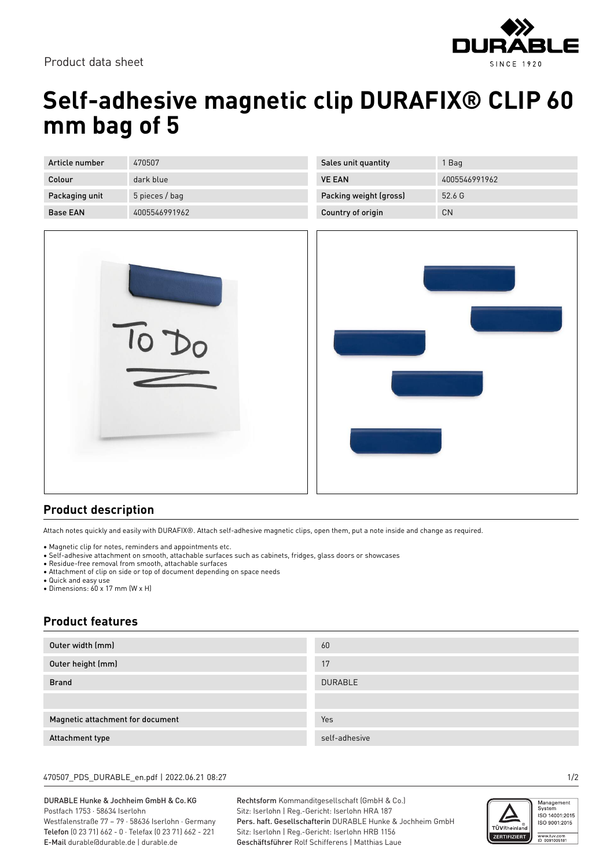

Product data sheet

# **Self-adhesive magnetic clip DURAFIX® CLIP 60 mm bag of 5**

| Article number  | 470507         |
|-----------------|----------------|
| Colour          | dark blue      |
| Packaging unit  | 5 pieces / bag |
| <b>Base FAN</b> | 4005546991962  |

| Sales unit quantity    | 1 Bag         |
|------------------------|---------------|
| <b>VE FAN</b>          | 4005546991962 |
| Packing weight (gross) | 52.6G         |
| Country of origin      | ΓN            |



### **Product description**

Attach notes quickly and easily with DURAFIX®. Attach self-adhesive magnetic clips, open them, put a note inside and change as required.

- Magnetic clip for notes, reminders and appointments etc.
- Self-adhesive attachment on smooth, attachable surfaces such as cabinets, fridges, glass doors or showcases
- Residue-free removal from smooth, attachable surfaces
- Attachment of clip on side or top of document depending on space needs
- Quick and easy use
- Dimensions: 60 x 17 mm (W x H)

### **Product features**

| Outer width (mm)                 | 60             |
|----------------------------------|----------------|
| Outer height (mm)                | 17             |
| <b>Brand</b>                     | <b>DURABLE</b> |
|                                  |                |
| Magnetic attachment for document | Yes            |
| Attachment type                  | self-adhesive  |

#### 470507\_PDS\_DURABLE\_en.pdf | 2022.06.21 08:27 1/2

DURABLE Hunke & Jochheim GmbH & Co.KG Postfach 1753 · 58634 Iserlohn Westfalenstraße 77 – 79 · 58636 Iserlohn · Germany Telefon (0 23 71) 662 - 0 · Telefax (0 23 71) 662 - 221

E-Mail durable@durable.de | durable.de

Rechtsform Kommanditgesellschaft (GmbH & Co.) Sitz: Iserlohn | Reg.-Gericht: Iserlohn HRA 187 Pers. haft. Gesellschafterin DURABLE Hunke & Jochheim GmbH Sitz: Iserlohn | Reg.-Gericht: Iserlohn HRB 1156 Geschäftsführer Rolf Schifferens | Matthias Laue